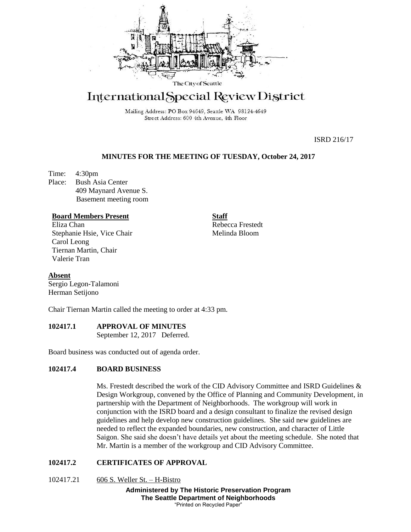

# International Special Review District

Mailing Address: PO Box 94649, Seattle WA 98124-4649 Street Address: 600 4th Avenue, 4th Floor

ISRD 216/17

## **MINUTES FOR THE MEETING OF TUESDAY, October 24, 2017**

Time: 4:30pm Place: Bush Asia Center 409 Maynard Avenue S. Basement meeting room

### **Board Members Present**

Eliza Chan Stephanie Hsie, Vice Chair Carol Leong Tiernan Martin, Chair Valerie Tran

**Staff** Rebecca Frestedt Melinda Bloom

**Absent**

Sergio Legon-Talamoni Herman Setijono

Chair Tiernan Martin called the meeting to order at 4:33 pm.

## **102417.1 APPROVAL OF MINUTES**

September 12, 2017 Deferred.

Board business was conducted out of agenda order.

## **102417.4 BOARD BUSINESS**

Ms. Frestedt described the work of the CID Advisory Committee and ISRD Guidelines & Design Workgroup, convened by the Office of Planning and Community Development, in partnership with the Department of Neighborhoods. The workgroup will work in conjunction with the ISRD board and a design consultant to finalize the revised design guidelines and help develop new construction guidelines. She said new guidelines are needed to reflect the expanded boundaries, new construction, and character of Little Saigon. She said she doesn't have details yet about the meeting schedule. She noted that Mr. Martin is a member of the workgroup and CID Advisory Committee.

## **102417.2 CERTIFICATES OF APPROVAL**

102417.21 606 S. Weller St. – H-Bistro

**Administered by The Historic Preservation Program The Seattle Department of Neighborhoods** "Printed on Recycled Paper"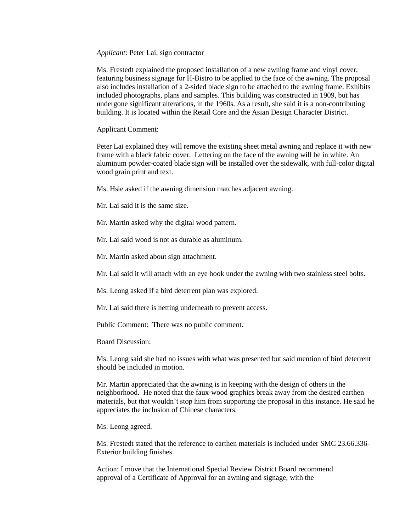*Applicant*: Peter Lai, sign contractor

Ms. Frestedt explained the proposed installation of a new awning frame and vinyl cover, featuring business signage for H-Bistro to be applied to the face of the awning. The proposal also includes installation of a 2-sided blade sign to be attached to the awning frame. Exhibits included photographs, plans and samples. This building was constructed in 1909, but has undergone significant alterations, in the 1960s. As a result, she said it is a non-contributing building. It is located within the Retail Core and the Asian Design Character District.

Applicant Comment:

Peter Lai explained they will remove the existing sheet metal awning and replace it with new frame with a black fabric cover. Lettering on the face of the awning will be in white. An aluminum powder-coated blade sign will be installed over the sidewalk, with full-color digital wood grain print and text.

Ms. Hsie asked if the awning dimension matches adjacent awning.

Mr. Lai said it is the same size.

Mr. Martin asked why the digital wood pattern.

Mr. Lai said wood is not as durable as aluminum.

Mr. Martin asked about sign attachment.

Mr. Lai said it will attach with an eye hook under the awning with two stainless steel bolts.

Ms. Leong asked if a bird deterrent plan was explored.

Mr. Lai said there is netting underneath to prevent access.

Public Comment: There was no public comment.

Board Discussion:

Ms. Leong said she had no issues with what was presented but said mention of bird deterrent should be included in motion.

Mr. Martin appreciated that the awning is in keeping with the design of others in the neighborhood. He noted that the faux-wood graphics break away from the desired earthen materials, but that wouldn't stop him from supporting the proposal in this instance. He said he appreciates the inclusion of Chinese characters.

Ms. Leong agreed.

Ms. Frestedt stated that the reference to earthen materials is included under SMC 23.66.336- Exterior building finishes.

Action: I move that the International Special Review District Board recommend approval of a Certificate of Approval for an awning and signage, with the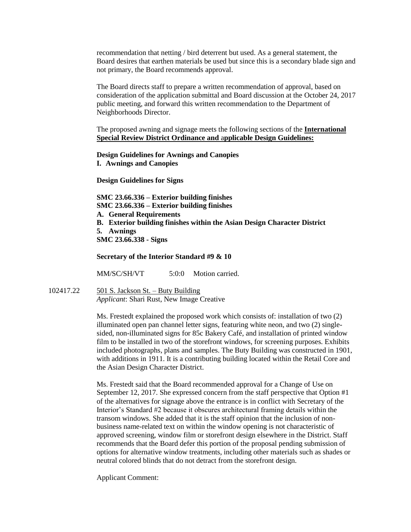recommendation that netting / bird deterrent but used. As a general statement, the Board desires that earthen materials be used but since this is a secondary blade sign and not primary, the Board recommends approval.

The Board directs staff to prepare a written recommendation of approval, based on consideration of the application submittal and Board discussion at the October 24, 2017 public meeting, and forward this written recommendation to the Department of Neighborhoods Director.

The proposed awning and signage meets the following sections of the **International Special Review District Ordinance and** a**pplicable Design Guidelines:**

**Design Guidelines for Awnings and Canopies I. Awnings and Canopies**

**Design Guidelines for Signs** 

**SMC 23.66.336 – Exterior building finishes SMC 23.66.336 – Exterior building finishes A. General Requirements B. Exterior building finishes within the Asian Design Character District 5. Awnings SMC 23.66.338 - Signs**

**Secretary of the Interior Standard #9 & 10**

MM/SC/SH/VT 5:0:0 Motion carried.

102417.22 501 S. Jackson St. – Buty Building *Applicant*: Shari Rust, New Image Creative

> Ms. Frestedt explained the proposed work which consists of: installation of two (2) illuminated open pan channel letter signs, featuring white neon, and two (2) singlesided, non-illuminated signs for 85c Bakery Café, and installation of printed window film to be installed in two of the storefront windows, for screening purposes. Exhibits included photographs, plans and samples. The Buty Building was constructed in 1901, with additions in 1911. It is a contributing building located within the Retail Core and the Asian Design Character District.

> Ms. Frestedt said that the Board recommended approval for a Change of Use on September 12, 2017. She expressed concern from the staff perspective that Option #1 of the alternatives for signage above the entrance is in conflict with Secretary of the Interior's Standard #2 because it obscures architectural framing details within the transom windows. She added that it is the staff opinion that the inclusion of nonbusiness name-related text on within the window opening is not characteristic of approved screening, window film or storefront design elsewhere in the District. Staff recommends that the Board defer this portion of the proposal pending submission of options for alternative window treatments, including other materials such as shades or neutral colored blinds that do not detract from the storefront design.

Applicant Comment: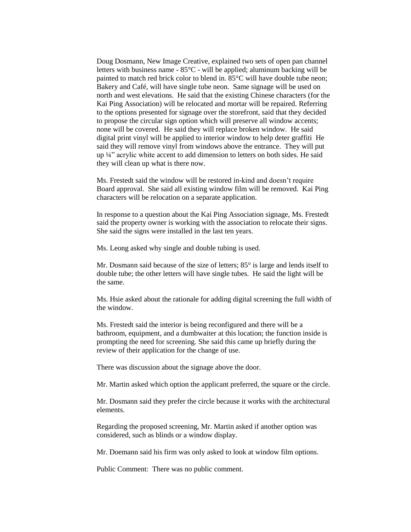Doug Dosmann, New Image Creative, explained two sets of open pan channel letters with business name - 85°C - will be applied; aluminum backing will be painted to match red brick color to blend in. 85°C will have double tube neon; Bakery and Café, will have single tube neon. Same signage will be used on north and west elevations. He said that the existing Chinese characters (for the Kai Ping Association) will be relocated and mortar will be repaired. Referring to the options presented for signage over the storefront, said that they decided to propose the circular sign option which will preserve all window accents; none will be covered. He said they will replace broken window. He said digital print vinyl will be applied to interior window to help deter graffiti He said they will remove vinyl from windows above the entrance. They will put up ¼" acrylic white accent to add dimension to letters on both sides. He said they will clean up what is there now.

Ms. Frestedt said the window will be restored in-kind and doesn't require Board approval. She said all existing window film will be removed. Kai Ping characters will be relocation on a separate application.

In response to a question about the Kai Ping Association signage, Ms. Frestedt said the property owner is working with the association to relocate their signs. She said the signs were installed in the last ten years.

Ms. Leong asked why single and double tubing is used.

Mr. Dosmann said because of the size of letters; 85° is large and lends itself to double tube; the other letters will have single tubes. He said the light will be the same.

Ms. Hsie asked about the rationale for adding digital screening the full width of the window.

Ms. Frestedt said the interior is being reconfigured and there will be a bathroom, equipment, and a dumbwaiter at this location; the function inside is prompting the need for screening. She said this came up briefly during the review of their application for the change of use.

There was discussion about the signage above the door.

Mr. Martin asked which option the applicant preferred, the square or the circle.

Mr. Dosmann said they prefer the circle because it works with the architectural elements.

Regarding the proposed screening, Mr. Martin asked if another option was considered, such as blinds or a window display.

Mr. Doemann said his firm was only asked to look at window film options.

Public Comment: There was no public comment.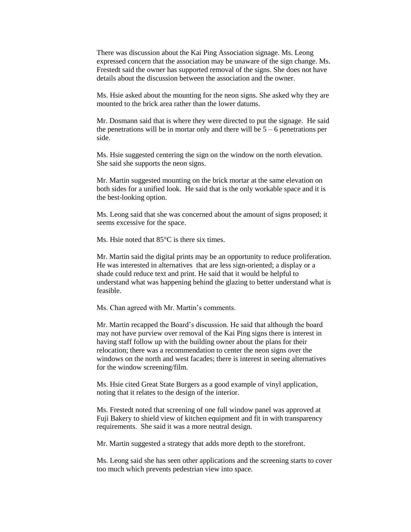There was discussion about the Kai Ping Association signage. Ms. Leong expressed concern that the association may be unaware of the sign change. Ms. Frestedt said the owner has supported removal of the signs. She does not have details about the discussion between the association and the owner.

Ms. Hsie asked about the mounting for the neon signs. She asked why they are mounted to the brick area rather than the lower datums.

Mr. Dosmann said that is where they were directed to put the signage. He said the penetrations will be in mortar only and there will be  $5 - 6$  penetrations per side.

Ms. Hsie suggested centering the sign on the window on the north elevation. She said she supports the neon signs.

Mr. Martin suggested mounting on the brick mortar at the same elevation on both sides for a unified look. He said that is the only workable space and it is the best-looking option.

Ms. Leong said that she was concerned about the amount of signs proposed; it seems excessive for the space.

Ms. Hsie noted that 85<sup>o</sup>C is there six times.

Mr. Martin said the digital prints may be an opportunity to reduce proliferation. He was interested in alternatives that are less sign-oriented; a display or a shade could reduce text and print. He said that it would be helpful to understand what was happening behind the glazing to better understand what is feasible.

Ms. Chan agreed with Mr. Martin's comments.

Mr. Martin recapped the Board's discussion. He said that although the board may not have purview over removal of the Kai Ping signs there is interest in having staff follow up with the building owner about the plans for their relocation; there was a recommendation to center the neon signs over the windows on the north and west facades; there is interest in seeing alternatives for the window screening/film.

Ms. Hsie cited Great State Burgers as a good example of vinyl application, noting that it relates to the design of the interior.

Ms. Frestedt noted that screening of one full window panel was approved at Fuji Bakery to shield view of kitchen equipment and fit in with transparency requirements. She said it was a more neutral design.

Mr. Martin suggested a strategy that adds more depth to the storefront.

Ms. Leong said she has seen other applications and the screening starts to cover too much which prevents pedestrian view into space.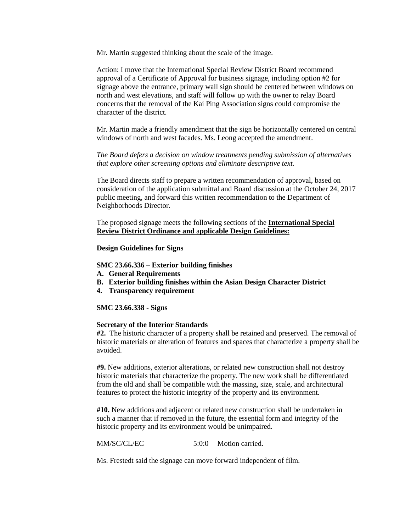Mr. Martin suggested thinking about the scale of the image.

Action: I move that the International Special Review District Board recommend approval of a Certificate of Approval for business signage, including option #2 for signage above the entrance, primary wall sign should be centered between windows on north and west elevations, and staff will follow up with the owner to relay Board concerns that the removal of the Kai Ping Association signs could compromise the character of the district.

Mr. Martin made a friendly amendment that the sign be horizontally centered on central windows of north and west facades. Ms. Leong accepted the amendment.

*The Board defers a decision on window treatments pending submission of alternatives that explore other screening options and eliminate descriptive text.* 

The Board directs staff to prepare a written recommendation of approval, based on consideration of the application submittal and Board discussion at the October 24, 2017 public meeting, and forward this written recommendation to the Department of Neighborhoods Director.

The proposed signage meets the following sections of the **International Special Review District Ordinance and** a**pplicable Design Guidelines:**

#### **Design Guidelines for Signs**

#### **SMC 23.66.336 – Exterior building finishes**

- **A. General Requirements**
- **B. Exterior building finishes within the Asian Design Character District**
- **4. Transparency requirement**

#### **SMC 23.66.338 - Signs**

#### **Secretary of the Interior Standards**

**#2.** The historic character of a property shall be retained and preserved. The removal of historic materials or alteration of features and spaces that characterize a property shall be avoided.

**#9.** New additions, exterior alterations, or related new construction shall not destroy historic materials that characterize the property. The new work shall be differentiated from the old and shall be compatible with the massing, size, scale, and architectural features to protect the historic integrity of the property and its environment.

**#10.** New additions and adjacent or related new construction shall be undertaken in such a manner that if removed in the future, the essential form and integrity of the historic property and its environment would be unimpaired.

MM/SC/CL/EC 5:0:0 Motion carried.

Ms. Frestedt said the signage can move forward independent of film.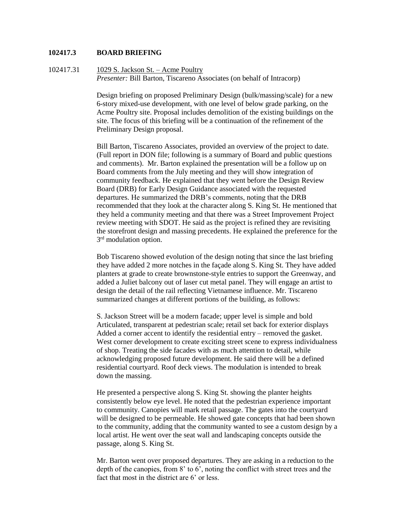#### **102417.3 BOARD BRIEFING**

102417.31 1029 S. Jackson St. – Acme Poultry *Presenter: Bill Barton, Tiscareno Associates (on behalf of Intracorp)* 

> Design briefing on proposed Preliminary Design (bulk/massing/scale) for a new 6-story mixed-use development, with one level of below grade parking, on the Acme Poultry site. Proposal includes demolition of the existing buildings on the site. The focus of this briefing will be a continuation of the refinement of the Preliminary Design proposal.

Bill Barton, Tiscareno Associates, provided an overview of the project to date. (Full report in DON file; following is a summary of Board and public questions and comments). Mr. Barton explained the presentation will be a follow up on Board comments from the July meeting and they will show integration of community feedback. He explained that they went before the Design Review Board (DRB) for Early Design Guidance associated with the requested departures. He summarized the DRB's comments, noting that the DRB recommended that they look at the character along S. King St. He mentioned that they held a community meeting and that there was a Street Improvement Project review meeting with SDOT. He said as the project is refined they are revisiting the storefront design and massing precedents. He explained the preference for the 3<sup>rd</sup> modulation option.

Bob Tiscareno showed evolution of the design noting that since the last briefing they have added 2 more notches in the façade along S. King St. They have added planters at grade to create brownstone-style entries to support the Greenway, and added a Juliet balcony out of laser cut metal panel. They will engage an artist to design the detail of the rail reflecting Vietnamese influence. Mr. Tiscareno summarized changes at different portions of the building, as follows:

S. Jackson Street will be a modern facade; upper level is simple and bold Articulated, transparent at pedestrian scale; retail set back for exterior displays Added a corner accent to identify the residential entry – removed the gasket. West corner development to create exciting street scene to express individualness of shop. Treating the side facades with as much attention to detail, while acknowledging proposed future development. He said there will be a defined residential courtyard. Roof deck views. The modulation is intended to break down the massing.

He presented a perspective along S. King St. showing the planter heights consistently below eye level. He noted that the pedestrian experience important to community. Canopies will mark retail passage. The gates into the courtyard will be designed to be permeable. He showed gate concepts that had been shown to the community, adding that the community wanted to see a custom design by a local artist. He went over the seat wall and landscaping concepts outside the passage, along S. King St.

Mr. Barton went over proposed departures. They are asking in a reduction to the depth of the canopies, from 8' to 6', noting the conflict with street trees and the fact that most in the district are 6' or less.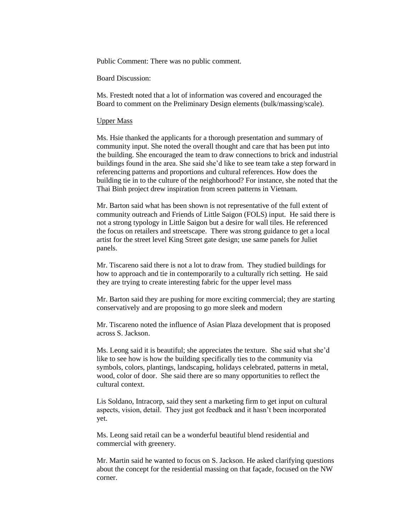Public Comment: There was no public comment.

Board Discussion:

Ms. Frestedt noted that a lot of information was covered and encouraged the Board to comment on the Preliminary Design elements (bulk/massing/scale).

#### Upper Mass

Ms. Hsie thanked the applicants for a thorough presentation and summary of community input. She noted the overall thought and care that has been put into the building. She encouraged the team to draw connections to brick and industrial buildings found in the area. She said she'd like to see team take a step forward in referencing patterns and proportions and cultural references. How does the building tie in to the culture of the neighborhood? For instance, she noted that the Thai Binh project drew inspiration from screen patterns in Vietnam.

Mr. Barton said what has been shown is not representative of the full extent of community outreach and Friends of Little Saigon (FOLS) input. He said there is not a strong typology in Little Saigon but a desire for wall tiles. He referenced the focus on retailers and streetscape. There was strong guidance to get a local artist for the street level King Street gate design; use same panels for Juliet panels.

Mr. Tiscareno said there is not a lot to draw from. They studied buildings for how to approach and tie in contemporarily to a culturally rich setting. He said they are trying to create interesting fabric for the upper level mass

Mr. Barton said they are pushing for more exciting commercial; they are starting conservatively and are proposing to go more sleek and modern

Mr. Tiscareno noted the influence of Asian Plaza development that is proposed across S. Jackson.

Ms. Leong said it is beautiful; she appreciates the texture. She said what she'd like to see how is how the building specifically ties to the community via symbols, colors, plantings, landscaping, holidays celebrated, patterns in metal, wood, color of door. She said there are so many opportunities to reflect the cultural context.

Lis Soldano, Intracorp, said they sent a marketing firm to get input on cultural aspects, vision, detail. They just got feedback and it hasn't been incorporated yet.

Ms. Leong said retail can be a wonderful beautiful blend residential and commercial with greenery.

Mr. Martin said he wanted to focus on S. Jackson. He asked clarifying questions about the concept for the residential massing on that façade, focused on the NW corner.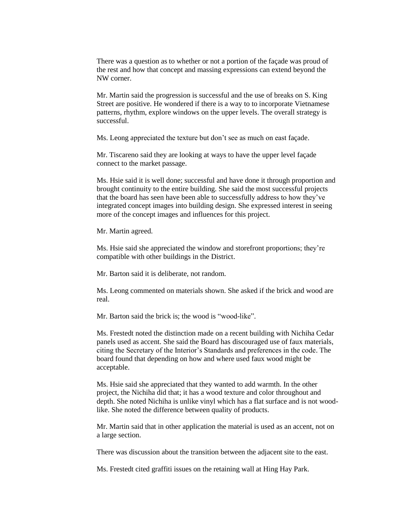There was a question as to whether or not a portion of the façade was proud of the rest and how that concept and massing expressions can extend beyond the NW corner.

Mr. Martin said the progression is successful and the use of breaks on S. King Street are positive. He wondered if there is a way to to incorporate Vietnamese patterns, rhythm, explore windows on the upper levels. The overall strategy is successful.

Ms. Leong appreciated the texture but don't see as much on east façade.

Mr. Tiscareno said they are looking at ways to have the upper level façade connect to the market passage.

Ms. Hsie said it is well done; successful and have done it through proportion and brought continuity to the entire building. She said the most successful projects that the board has seen have been able to successfully address to how they've integrated concept images into building design. She expressed interest in seeing more of the concept images and influences for this project.

Mr. Martin agreed.

Ms. Hsie said she appreciated the window and storefront proportions; they're compatible with other buildings in the District.

Mr. Barton said it is deliberate, not random.

Ms. Leong commented on materials shown. She asked if the brick and wood are real.

Mr. Barton said the brick is; the wood is "wood-like".

Ms. Frestedt noted the distinction made on a recent building with Nichiha Cedar panels used as accent. She said the Board has discouraged use of faux materials, citing the Secretary of the Interior's Standards and preferences in the code. The board found that depending on how and where used faux wood might be acceptable.

Ms. Hsie said she appreciated that they wanted to add warmth. In the other project, the Nichiha did that; it has a wood texture and color throughout and depth. She noted Nichiha is unlike vinyl which has a flat surface and is not woodlike. She noted the difference between quality of products.

Mr. Martin said that in other application the material is used as an accent, not on a large section.

There was discussion about the transition between the adjacent site to the east.

Ms. Frestedt cited graffiti issues on the retaining wall at Hing Hay Park.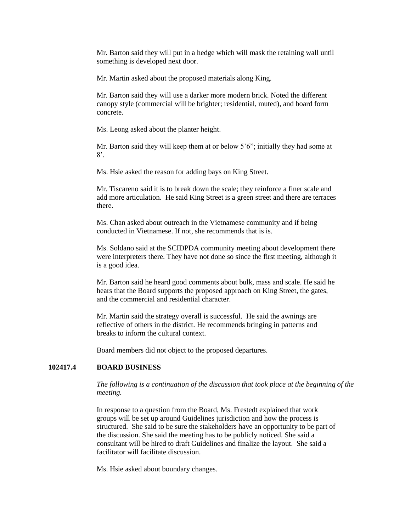Mr. Barton said they will put in a hedge which will mask the retaining wall until something is developed next door.

Mr. Martin asked about the proposed materials along King.

Mr. Barton said they will use a darker more modern brick. Noted the different canopy style (commercial will be brighter; residential, muted), and board form concrete.

Ms. Leong asked about the planter height.

Mr. Barton said they will keep them at or below 5'6"; initially they had some at  $8^\circ$ .

Ms. Hsie asked the reason for adding bays on King Street.

Mr. Tiscareno said it is to break down the scale; they reinforce a finer scale and add more articulation. He said King Street is a green street and there are terraces there.

Ms. Chan asked about outreach in the Vietnamese community and if being conducted in Vietnamese. If not, she recommends that is is.

Ms. Soldano said at the SCIDPDA community meeting about development there were interpreters there. They have not done so since the first meeting, although it is a good idea.

Mr. Barton said he heard good comments about bulk, mass and scale. He said he hears that the Board supports the proposed approach on King Street, the gates, and the commercial and residential character.

Mr. Martin said the strategy overall is successful. He said the awnings are reflective of others in the district. He recommends bringing in patterns and breaks to inform the cultural context.

Board members did not object to the proposed departures.

## **102417.4 BOARD BUSINESS**

*The following is a continuation of the discussion that took place at the beginning of the meeting.* 

In response to a question from the Board, Ms. Frestedt explained that work groups will be set up around Guidelines jurisdiction and how the process is structured. She said to be sure the stakeholders have an opportunity to be part of the discussion. She said the meeting has to be publicly noticed. She said a consultant will be hired to draft Guidelines and finalize the layout. She said a facilitator will facilitate discussion.

Ms. Hsie asked about boundary changes.